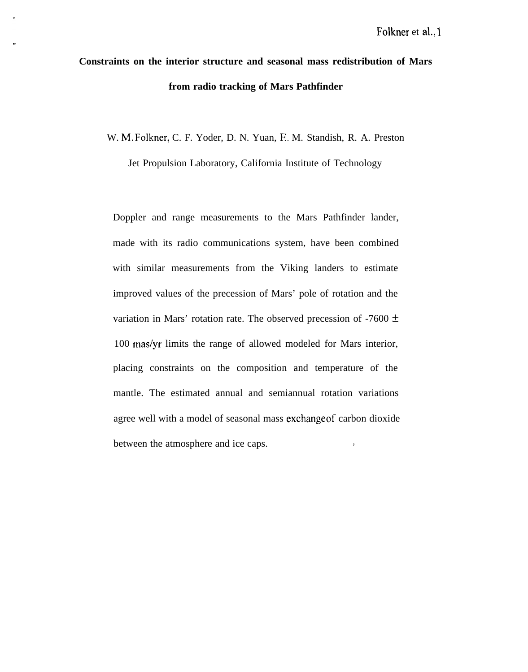# **Constraints on the interior structure and seasonal mass redistribution of Mars from radio tracking of Mars Pathfinder**

W. M. Folkner, C. F. Yoder, D. N. Yuan, E. M. Standish, R. A. Preston

Jet Propulsion Laboratory, California Institute of Technology

Doppler and range measurements to the Mars Pathfinder lander, made with its radio communications system, have been combined with similar measurements from the Viking landers to estimate improved values of the precession of Mars' pole of rotation and the variation in Mars' rotation rate. The observed precession of -7600  $\pm$ 100 mas/yr limits the range of allowed modeled for Mars interior, placing constraints on the composition and temperature of the mantle. The estimated annual and semiannual rotation variations agree well with a model of seasonal mass exchangeof carbon dioxide between the atmosphere and ice caps.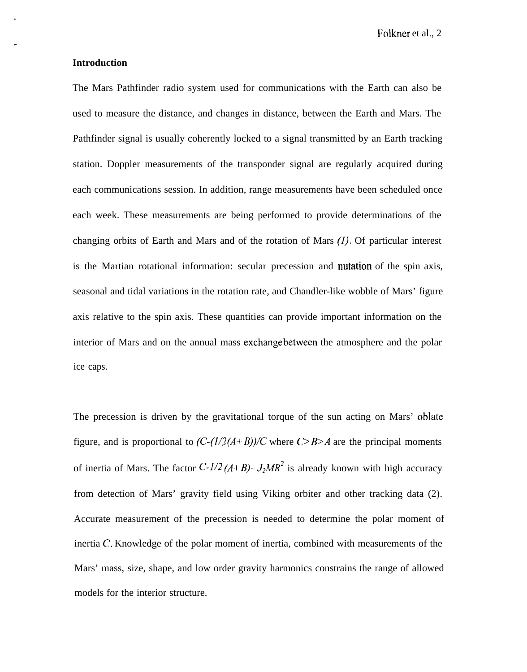Folkner et al., 2

### **Introduction**

The Mars Pathfinder radio system used for communications with the Earth can also be used to measure the distance, and changes in distance, between the Earth and Mars. The Pathfinder signal is usually coherently locked to a signal transmitted by an Earth tracking station. Doppler measurements of the transponder signal are regularly acquired during each communications session. In addition, range measurements have been scheduled once each week. These measurements are being performed to provide determinations of the changing orbits of Earth and Mars and of the rotation of Mars (1). Of particular interest is the Martian rotational information: secular precession and nutation of the spin axis, seasonal and tidal variations in the rotation rate, and Chandler-like wobble of Mars' figure axis relative to the spin axis. These quantities can provide important information on the interior of Mars and on the annual mass exchangebetween the atmosphere and the polar ice caps.

The precession is driven by the gravitational torque of the sun acting on Mars' oblate figure, and is proportional to  $(C-(1/2(A+B))/C$  where  $C > B > A$  are the principal moments of inertia of Mars. The factor  $C - l/2 (A + B) = J_2 M R^2$  is already known with high accuracy from detection of Mars' gravity field using Viking orbiter and other tracking data (2). Accurate measurement of the precession is needed to determine the polar moment of inertia  $C$ . Knowledge of the polar moment of inertia, combined with measurements of the Mars' mass, size, shape, and low order gravity harmonics constrains the range of allowed models for the interior structure.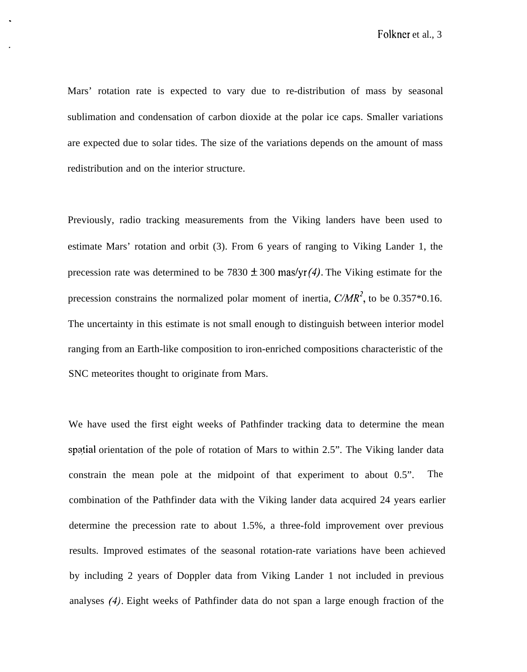Mars' rotation rate is expected to vary due to re-distribution of mass by seasonal sublimation and condensation of carbon dioxide at the polar ice caps. Smaller variations are expected due to solar tides. The size of the variations depends on the amount of mass redistribution and on the interior structure.

Previously, radio tracking measurements from the Viking landers have been used to estimate Mars' rotation and orbit (3). From 6 years of ranging to Viking Lander 1, the precession rate was determined to be 7830  $\pm$  300 mas/yr(4). The Viking estimate for the precession constrains the normalized polar moment of inertia,  $C/MR^2$ , to be 0.357\*0.16. The uncertainty in this estimate is not small enough to distinguish between interior model ranging from an Earth-like composition to iron-enriched compositions characteristic of the SNC meteorites thought to originate from Mars.

We have used the first eight weeks of Pathfinder tracking data to determine the mean spqtial orientation of the pole of rotation of Mars to within 2.5". The Viking lander data constrain the mean pole at the midpoint of that experiment to about 0.5". The combination of the Pathfinder data with the Viking lander data acquired 24 years earlier determine the precession rate to about 1.5%, a three-fold improvement over previous results. Improved estimates of the seasonal rotation-rate variations have been achieved by including 2 years of Doppler data from Viking Lander 1 not included in previous analyses (4). Eight weeks of Pathfinder data do not span a large enough fraction of the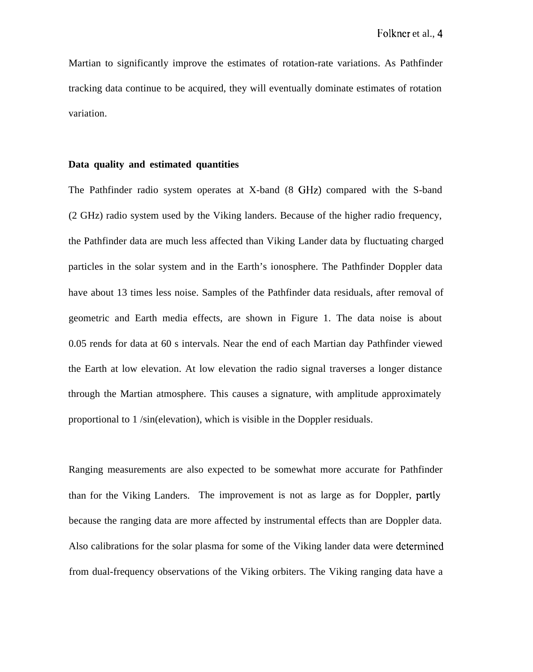Martian to significantly improve the estimates of rotation-rate variations. As Pathfinder tracking data continue to be acquired, they will eventually dominate estimates of rotation variation.

#### **Data quality and estimated quantities**

The Pathfinder radio system operates at X-band (8 GHz) compared with the S-band (2 GHz) radio system used by the Viking landers. Because of the higher radio frequency, the Pathfinder data are much less affected than Viking Lander data by fluctuating charged particles in the solar system and in the Earth's ionosphere. The Pathfinder Doppler data have about 13 times less noise. Samples of the Pathfinder data residuals, after removal of geometric and Earth media effects, are shown in Figure 1. The data noise is about 0.05 rends for data at 60 s intervals. Near the end of each Martian day Pathfinder viewed the Earth at low elevation. At low elevation the radio signal traverses a longer distance through the Martian atmosphere. This causes a signature, with amplitude approximately proportional to 1 /sin(elevation), which is visible in the Doppler residuals.

Ranging measurements are also expected to be somewhat more accurate for Pathfinder than for the Viking Landers. The improvement is not as large as for Doppler, partly because the ranging data are more affected by instrumental effects than are Doppler data. Also calibrations for the solar plasma for some of the Viking lander data were determined from dual-frequency observations of the Viking orbiters. The Viking ranging data have a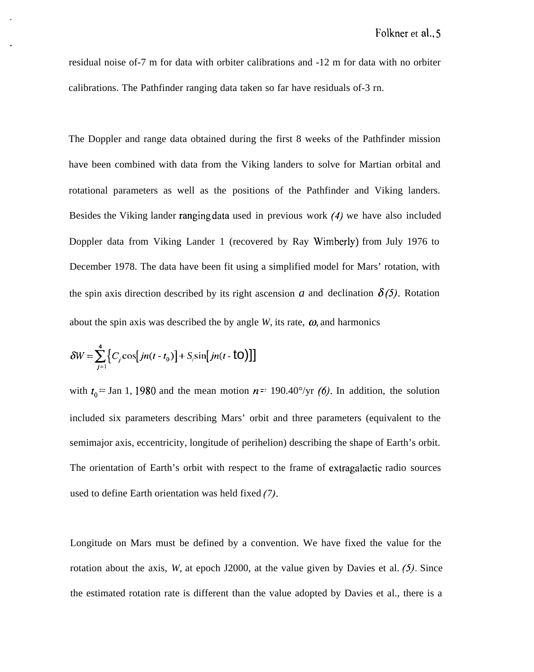residual noise of-7 m for data with orbiter calibrations and -12 m for data with no orbiter calibrations. The Pathfinder ranging data taken so far have residuals of-3 rn.

The Doppler and range data obtained during the first 8 weeks of the Pathfinder mission have been combined with data from the Viking landers to solve for Martian orbital and rotational parameters as well as the positions of the Pathfinder and Viking landers. Besides the Viking lander rangingdata used in previous work (4) we have also included Doppler data from Viking Lander 1 (recovered by Ray Wimberly) from July 1976 to December 1978. The data have been fit using a simplified model for Mars' rotation, with the spin axis direction described by its right ascension  $a$  and declination  $\delta(5)$ . Rotation about the spin axis was described the by angle  $W$ , its rate,  $\omega$ , and harmonics

$$
\delta W = \sum_{j=1}^{4} \left\{ C_j \cos\left[jn(t-t_0)\right] + S_j \sin\left[jn(t-\dot{\mathbf{t}}\mathbf{O})\right]\right\}
$$

with  $t_0$  = Jan 1, 1980 and the mean motion  $n = 190.40^{\circ}/yr$  (6). In addition, the solution included six parameters describing Mars' orbit and three parameters (equivalent to the semimajor axis, eccentricity, longitude of perihelion) describing the shape of Earth's orbit. The orientation of Earth's orbit with respect to the frame of extragalactic radio sources used to define Earth orientation was held fixed (7).

Longitude on Mars must be defined by a convention. We have fixed the value for the rotation about the axis,  $W$ , at epoch J2000, at the value given by Davies et al.  $(5)$ . Since the estimated rotation rate is different than the value adopted by Davies et al., there is a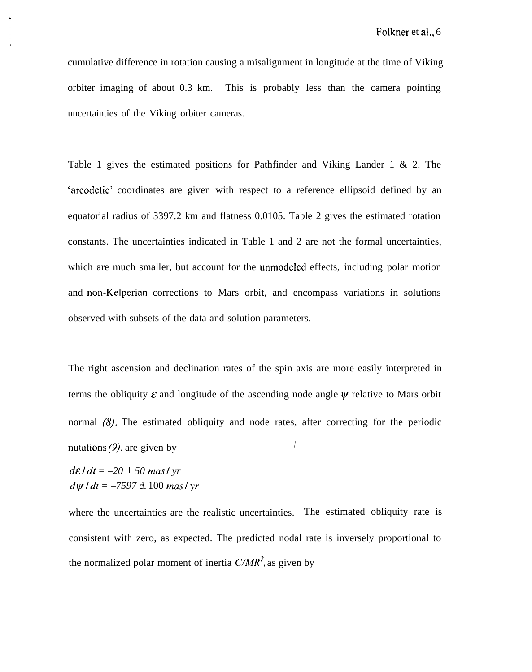cumulative difference in rotation causing a misalignment in longitude at the time of Viking orbiter imaging of about 0.3 km. This is probably less than the camera pointing uncertainties of the Viking orbiter cameras.

Table 1 gives the estimated positions for Pathfinder and Viking Lander 1 & 2. The 'areodetic' coordinates are given with respect to a reference ellipsoid defined by an equatorial radius of 3397.2 km and flatness 0.0105. Table 2 gives the estimated rotation constants. The uncertainties indicated in Table 1 and 2 are not the formal uncertainties, which are much smaller, but account for the unmodeled effects, including polar motion and non-Kelperian corrections to Mars orbit, and encompass variations in solutions observed with subsets of the data and solution parameters.

The right ascension and declination rates of the spin axis are more easily interpreted in terms the obliquity  $\varepsilon$  and longitude of the ascending node angle  $\psi$  relative to Mars orbit normal (8). The estimated obliquity and node rates, after correcting for the periodic nutations  $(9)$ , are given by

 $d\epsilon/dt = -20 \pm 50$  mas/ yr  $d\psi/dt = -7597 \pm 100$  *maslyr* 

where the uncertainties are the realistic uncertainties. The estimated obliquity rate is consistent with zero, as expected. The predicted nodal rate is inversely proportional to the normalized polar moment of inertia  $C/MR^2$ , as given by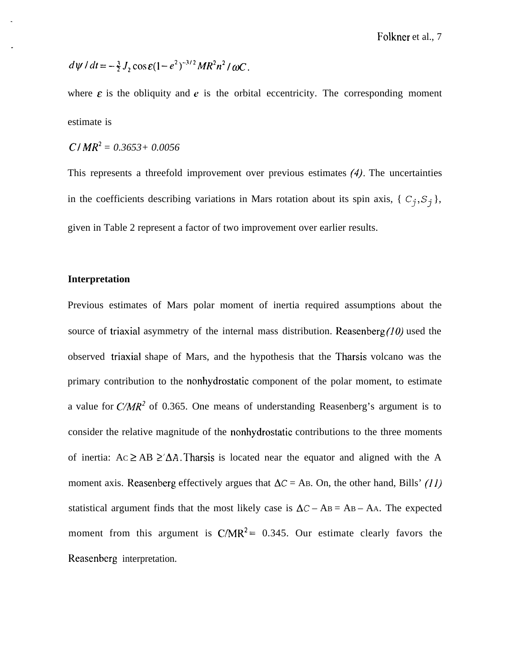$$
d\psi / dt = -\frac{3}{2} J_2 \cos \varepsilon (1 - e^2)^{-3/2} M R^2 n^2 / \omega C.
$$

where  $\varepsilon$  is the obliquity and  $e$  is the orbital eccentricity. The corresponding moment estimate is

$$
C/MR^2 = 0.3653 + 0.0056
$$

This represents a threefold improvement over previous estimates (4). The uncertainties in the coefficients describing variations in Mars rotation about its spin axis, { $C_j, S_j$ }, given in Table 2 represent a factor of two improvement over earlier results.

#### **Interpretation**

Previous estimates of Mars polar moment of inertia required assumptions about the source of triaxial asymmetry of the internal mass distribution. Reasenberg  $(10)$  used the observed triaxial shape of Mars, and the hypothesis that the Tharsis volcano was the primary contribution to the nonhydrostatic component of the polar moment, to estimate a value for *C'/A4R2* of 0.365. One means of understanding Reasenberg's argument is to consider the relative magnitude of the nonhydrostatic contributions to the three moments of inertia:  $Ac \geq AB \geq \Delta A$ . Tharsis is located near the equator and aligned with the A moment axis. Reasenberg effectively argues that  $\Delta C = AB$ . On, the other hand, Bills' (11) statistical argument finds that the most likely case is  $\Delta C - AB = AB - AA$ . The expected moment from this argument is  $C/MR^2 = 0.345$ . Our estimate clearly favors the Reasenberg interpretation.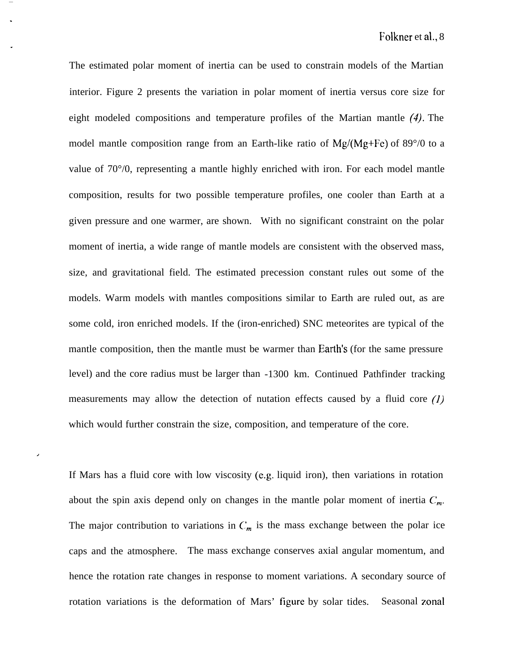The estimated polar moment of inertia can be used to constrain models of the Martian interior. Figure 2 presents the variation in polar moment of inertia versus core size for eight modeled compositions and temperature profiles of the Martian mantle (4). The model mantle composition range from an Earth-like ratio of  $Mg/(Mg+Fe)$  of 89 $\degree$ /0 to a value of 70°/0, representing a mantle highly enriched with iron. For each model mantle composition, results for two possible temperature profiles, one cooler than Earth at a given pressure and one warmer, are shown. With no significant constraint on the polar moment of inertia, a wide range of mantle models are consistent with the observed mass, size, and gravitational field. The estimated precession constant rules out some of the models. Warm models with mantles compositions similar to Earth are ruled out, as are some cold, iron enriched models. If the (iron-enriched) SNC meteorites are typical of the mantle composition, then the mantle must be warmer than Earth's (for the same pressure level) and the core radius must be larger than -1300 km. Continued Pathfinder tracking measurements may allow the detection of nutation effects caused by a fluid core  $(1)$ which would further constrain the size, composition, and temperature of the core.

If Mars has a fluid core with low viscosity (e.g. liquid iron), then variations in rotation about the spin axis depend only on changes in the mantle polar moment of inertia  $C_m$ . The major contribution to variations in  $C_m$  is the mass exchange between the polar ice caps and the atmosphere. The mass exchange conserves axial angular momentum, and hence the rotation rate changes in response to moment variations. A secondary source of rotation variations is the deformation of Mars' figure by solar tides. Seasonal zonal

,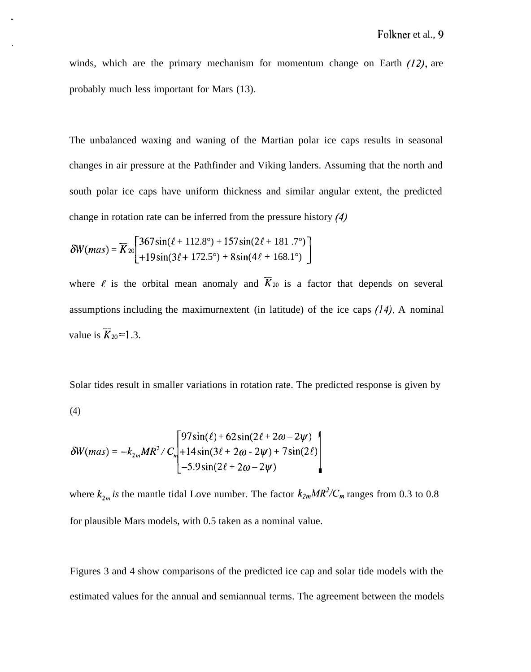winds, which are the primary mechanism for momentum change on Earth  $(12)$ , are probably much less important for Mars (13).

The unbalanced waxing and waning of the Martian polar ice caps results in seasonal changes in air pressure at the Pathfinder and Viking landers. Assuming that the north and south polar ice caps have uniform thickness and similar angular extent, the predicted change in rotation rate can be inferred from the pressure history (4)

$$
\delta W(mas) = \overline{K}_{20} \begin{bmatrix} 367\sin(\ell+112.8^\circ) + 157\sin(2\ell+181.7^\circ) \\ +19\sin(3\ell+172.5^\circ) + 8\sin(4\ell+168.1^\circ) \end{bmatrix}
$$

where  $\ell$  is the orbital mean anomaly and  $\overline{K}_{20}$  is a factor that depends on several assumptions including the maximurnextent (in latitude) of the ice caps  $(14)$ . A nominal value is  $\overline{K}_{20}=1.3$ .

Solar tides result in smaller variations in rotation rate. The predicted response is given by (4)

$$
\delta W(mas) = -k_{2m}MR^2/C_m \left[ \begin{matrix} 97\sin(\ell) + 62\sin(2\ell + 2\omega - 2\psi) \\ +14\sin(3\ell + 2\omega - 2\psi) + 7\sin(2\ell) \\ -5.9\sin(2\ell + 2\omega - 2\psi) \end{matrix} \right]
$$

where  $k_{2m}$  is the mantle tidal Love number. The factor  $k_{2m}MR^2/C_m$  ranges from 0.3 to 0.8 for plausible Mars models, with 0.5 taken as a nominal value.

Figures 3 and 4 show comparisons of the predicted ice cap and solar tide models with the estimated values for the annual and semiannual terms. The agreement between the models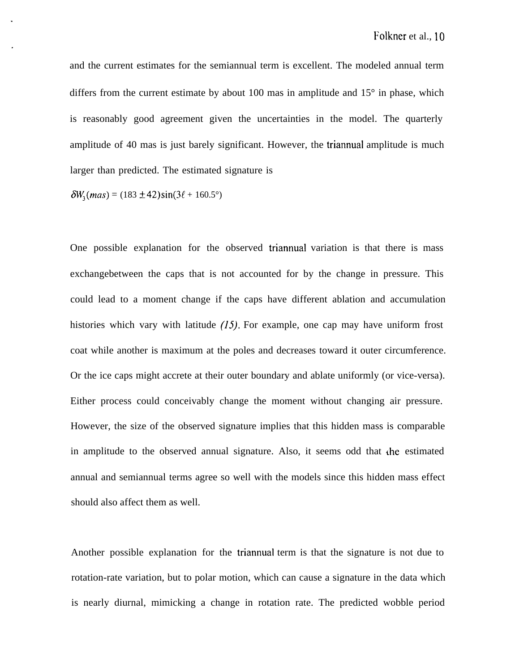and the current estimates for the semiannual term is excellent. The modeled annual term differs from the current estimate by about 100 mas in amplitude and  $15^{\circ}$  in phase, which is reasonably good agreement given the uncertainties in the model. The quarterly amplitude of 40 mas is just barely significant. However, the triannual amplitude is much larger than predicted. The estimated signature is

$$
\delta W_3(mas) = (183 \pm 42) \sin(3\ell + 160.5^\circ)
$$

One possible explanation for the observed triannual variation is that there is mass exchangebetween the caps that is not accounted for by the change in pressure. This could lead to a moment change if the caps have different ablation and accumulation histories which vary with latitude  $(15)$ . For example, one cap may have uniform frost coat while another is maximum at the poles and decreases toward it outer circumference. Or the ice caps might accrete at their outer boundary and ablate uniformly (or vice-versa). Either process could conceivably change the moment without changing air pressure. However, the size of the observed signature implies that this hidden mass is comparable in amplitude to the observed annual signature. Also, it seems odd that the estimated annual and semiannual terms agree so well with the models since this hidden mass effect should also affect them as well.

Another possible explanation for the triannual term is that the signature is not due to rotation-rate variation, but to polar motion, which can cause a signature in the data which is nearly diurnal, mimicking a change in rotation rate. The predicted wobble period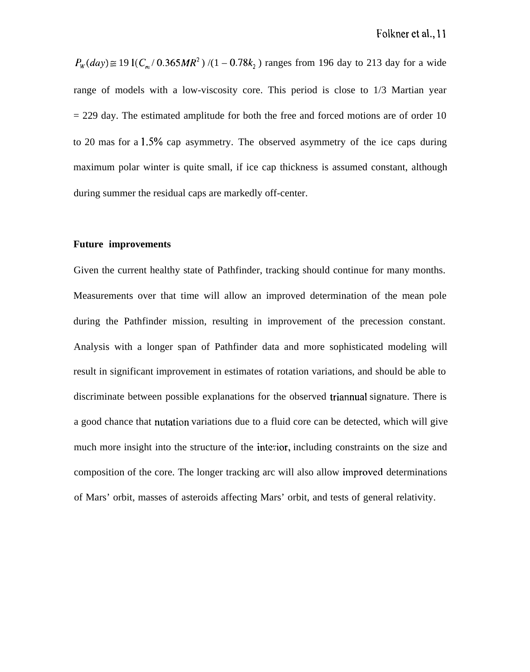$P_w(day) \cong 191(C_m/0.365MR^2)/(1-0.78k_2)$  ranges from 196 day to 213 day for a wide range of models with a low-viscosity core. This period is close to 1/3 Martian year  $= 229$  day. The estimated amplitude for both the free and forced motions are of order 10 to 20 mas for a  $1.5\%$  cap asymmetry. The observed asymmetry of the ice caps during maximum polar winter is quite small, if ice cap thickness is assumed constant, although during summer the residual caps are markedly off-center.

#### **Future improvements**

Given the current healthy state of Pathfinder, tracking should continue for many months. Measurements over that time will allow an improved determination of the mean pole during the Pathfinder mission, resulting in improvement of the precession constant. Analysis with a longer span of Pathfinder data and more sophisticated modeling will result in significant improvement in estimates of rotation variations, and should be able to discriminate between possible explanations for the observed triannual signature. There is a good chance that nutation variations due to a fluid core can be detected, which will give much more insight into the structure of the interior, including constraints on the size and composition of the core. The longer tracking arc will also allow improvecl determinations of Mars' orbit, masses of asteroids affecting Mars' orbit, and tests of general relativity.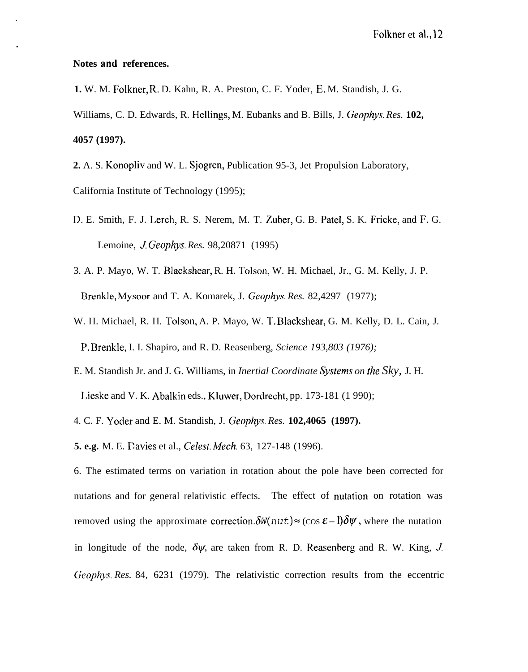## **Notes and references.**

**1.** W. M. Folkner, R, D. Kahn, R. A. Preston, C. F. Yoder, E. M. Standish, J. G. Williams, C. D. Edwards, R. Hellings, M. Eubanks and B. Bills, J. Geophys. Res. 102, **4057 (1997).**

**2.** A. S. Konopliv and W. L. Sjogren, Publication 95-3, Jet Propulsion Laboratory, California Institute of Technology (1995);

- D. E. Smith, F. J. Lerch, R. S. Nerem, M. T. Zuber, G. B. Patel, S. K. Fricke, and F. G. Lemoine, *J. Geophys. Res.* 98,20871 (1995)
- 3. A. P. Mayo, W. T. Blackshear, R. H. Tolson, W. H. Michael, Jr., G. M. Kelly, J. P. Brenkle, Mysoor and T. A. Komarek, J. Geophys. Res. 82,4297 (1977);
- W. H. Michael, R. H. Tolson, A. P. Mayo, W. T. Blackshear, G. M. Kelly, D. L. Cain, J. 1?. Brenkle, I. I. Shapiro, and R. D. Reasenberg, *Science 193,803 (1976);*
- E. M. Standish Jr. and J. G. Williams, in *Inertial Coordinate Sy.slerns on the Sky,* J. H.

Lieske and V. K. Abalkin eds., Kluwer, Dordrecht, pp. 173-181 (1 990);

4. C. F. Yoder and E. M. Standish, J. Geophys. Res. **102,4065** (1997).

**5. e.g.** M. E. Eavies et al., Celest. *A4ech.* 63, 127-148 (1996).

6. The estimated terms on variation in rotation about the pole have been corrected for nutations and for general relativistic effects. The effect of nutation on rotation was removed using the approximate correction.  $\delta W(nut) \approx (\cos \mathcal{E} - 1)\delta \psi$ , where the nutation in longitude of the node,  $\delta \psi$ , are taken from R. D. Reasenberg and R. W. King, J. *Geophys. Res.* 84, 6231 (1979). The relativistic correction results from the eccentric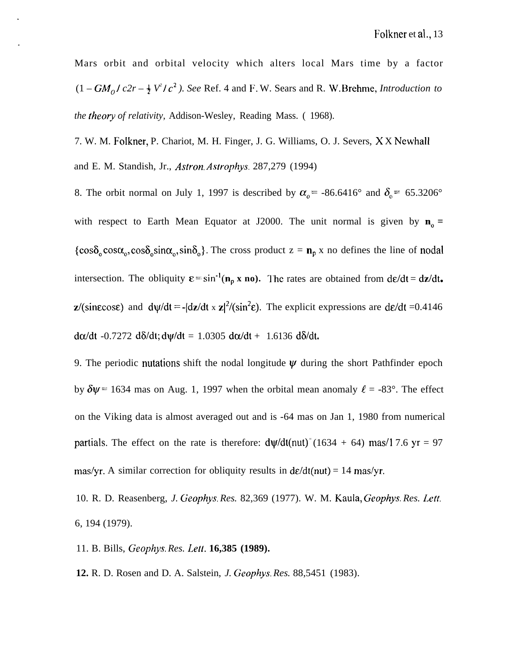Mars orbit and orbital velocity which alters local Mars time by a factor  $(1 - GM<sub>o</sub>/c2r - \frac{1}{2}V<sup>2</sup>/c<sup>2</sup>)$ . See Ref. 4 and F. W. Sears and R. W. Brehme, *Introduction to the theory of relativity.* Addison-Wesley, Reading Mass. (1968).

7. W. M. Folkner, P. Chariot, M. H. Finger, J. G. Williams, O. J. Severs, X X Newhall and E. M. Standish, Jr., *Astron. Astrophys.* 287,279 (1994)

8. The orbit normal on July 1, 1997 is described by  $\alpha_0 = -86.6416^\circ$  and  $\delta_0 = 65.3206^\circ$ with respect to Earth Mean Equator at J2000. The unit normal is given by  $\mathbf{n}_{0} =$  $\{\cos\delta_0 \cos\alpha_0, \cos\delta_0 \sin\alpha_0, \sin\delta_0\}.$  The cross product  $z = n_p x$  no defines the line of nodal intersection. The obliquity  $\epsilon = \sin^{-1}(n_p \times n_o)$ . The rates are obtained from  $de/dt = dz/dt$ .  $z/(sin\epsilon \cos\epsilon)$  and  $dy/dt = -[dz/dt \times z]^2/(sin^2\epsilon)$ . The explicit expressions are  $d\epsilon/dt = 0.4146$ d $\alpha$ /dt -0.7272 d $\delta$ /dt; d $\psi$ /dt = 1.0305 d $\alpha$ /dt + 1.6136 d $\delta$ /dt.

9. The periodic nutations shift the nodal longitude  $\psi$  during the short Pathfinder epoch by  $\delta \psi$  = 1634 mas on Aug. 1, 1997 when the orbital mean anomaly  $\ell$  = -83°. The effect on the Viking data is almost averaged out and is -64 mas on Jan 1, 1980 from numerical partials. The effect on the rate is therefore:  $d\psi/dt(nut)$ <sup>=</sup>(1634 + 64) mas/1 7.6 yr = 97 mas/yr. A similar correction for obliquity results in  $d\varepsilon/dt$  (nut) = 14 mas/yr.

10. R. D. Reasenberg, *J. Geophys. Res.* 82,369 (1977). W. M. Kaula, *Geophys. Res. Lett.* 6, 194 (1979).

11. B. Bills, *Geophys. Res. Lett.* **16,385 (1989).**

**12.** R. D. Rosen and D. A. Salstein, *J. Geophys. Res.* 88,5451 (1983).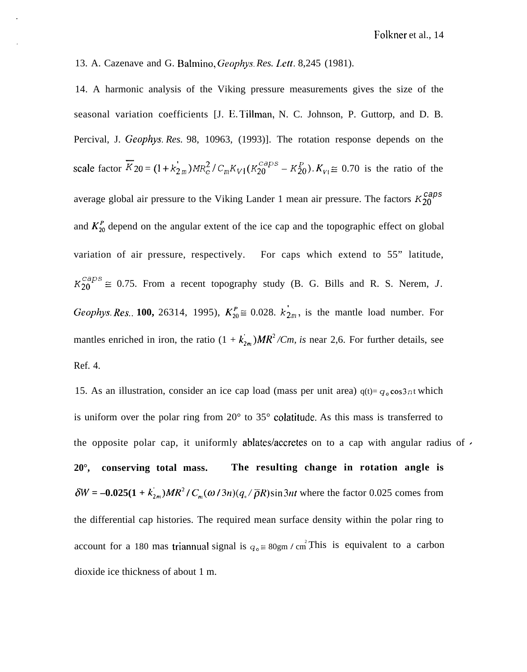13. A. Cazenave and G. Balmino, Geophys. Res. Lett. 8,245 (1981).

14. A harmonic analysis of the Viking pressure measurements gives the size of the seasonal variation coefficients [J. E. Tillman, N. C. Johnson, P. Guttorp, and D. B. Percival, J. Geophys. *Res.* 98, 10963, (1993)]. The rotation response depends on the scale factor  $\overline{K}_{20} = (1 + k'_{2m})MR_e^2/C_mK_{V1}(K_{20}^{caps} - K_{20}^P)$ .  $K_{V1} \cong 0.70$  is the ratio of the average global air pressure to the Viking Lander 1 mean air pressure. The factors  $K_{20}^{caps}$ and  $K_{20}^P$  depend on the angular extent of the ice cap and the topographic effect on global variation of air pressure, respectively. For caps which extend to 55" latitude,  $K_{20}^{caps} \cong 0.75$ . From a recent topography study (B. G. Bills and R. S. Nerem, *J.* Geophys. Res.. 100, 26314, 1995),  $K_{20}^P \cong 0.028$ .  $k_{2m}$ , is the mantle load number. For mantles enriched in iron, the ratio  $(1 + k_{2m})MR^2/Cm$ , is near 2,6. For further details, see Ref. 4.

15. As an illustration, consider an ice cap load (mass per unit area)  $q(t) = q_0 \cos 3nt$  which is uniform over the polar ring from 20° to 35° colatitude. As this mass is transferred to the opposite polar cap, it uniformly ablates/accretes on to a cap with angular radius of  $\prime$ **20°, conserving total mass. The resulting change in rotation angle is**  $\delta W = -0.025(1 + k_{2m}^{\dagger})MR^2/C_m(\omega/3n)(q_s/\overline{\rho}R)\sin 3nt$  where the factor 0.025 comes from the differential cap histories. The required mean surface density within the polar ring to account for a 180 mas triannual signal is  $q_0 \equiv 80 \text{gm} / \text{cm}^2$ . This is equivalent to a carbon dioxide ice thickness of about 1 m.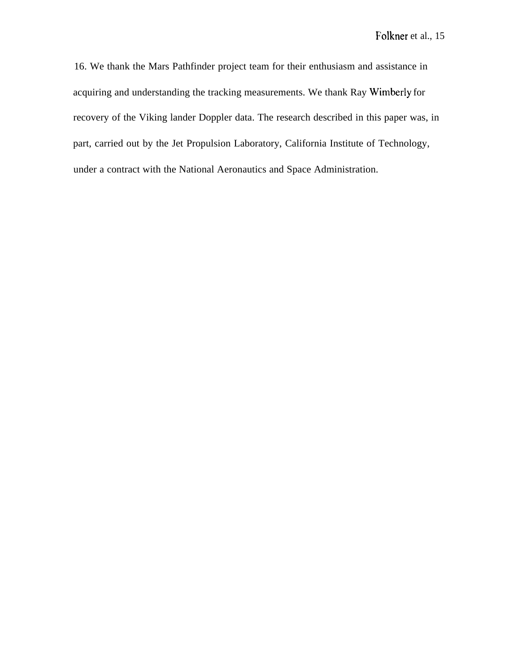16. We thank the Mars Pathfinder project team for their enthusiasm and assistance in acquiring and understanding the tracking measurements. We thank Ray Wimberly for recovery of the Viking lander Doppler data. The research described in this paper was, in part, carried out by the Jet Propulsion Laboratory, California Institute of Technology, under a contract with the National Aeronautics and Space Administration.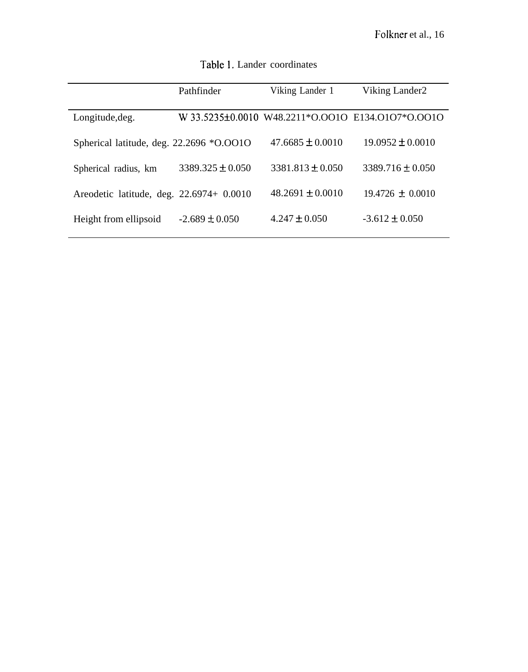|                                          | Pathfinder           | Viking Lander 1      | Viking Lander2                                    |
|------------------------------------------|----------------------|----------------------|---------------------------------------------------|
| Longitude, deg.                          |                      |                      | W 33.5235±0.0010 W48.2211*0.0010 E134.0107*0.0010 |
| Spherical latitude, deg. 22.2696 *O.OO1O |                      | $47.6685 \pm 0.0010$ | $19.0952 \pm 0.0010$                              |
| Spherical radius, km                     | $3389.325 \pm 0.050$ | $3381.813 \pm 0.050$ | $3389.716 \pm 0.050$                              |
| Areodetic latitude, deg. 22.6974+ 0.0010 |                      | $48.2691 + 0.0010$   | $19.4726 \pm 0.0010$                              |
| Height from ellipsoid                    | $-2.689 \pm 0.050$   | $4.247 \pm 0.050$    | $-3.612 \pm 0.050$                                |

Table 1. Lander coordinates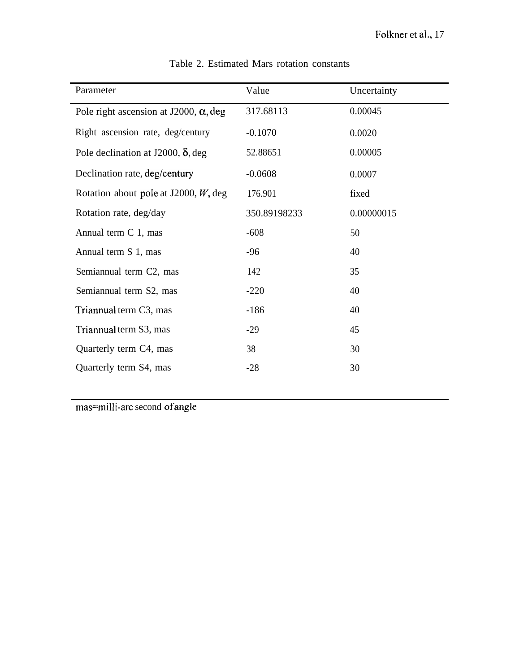| Parameter                                     | Value        | Uncertainty |
|-----------------------------------------------|--------------|-------------|
| Pole right ascension at J2000, $\alpha$ , deg | 317.68113    | 0.00045     |
| Right ascension rate, deg/century             | $-0.1070$    | 0.0020      |
| Pole declination at J2000, $\delta$ , deg     | 52.88651     | 0.00005     |
| Declination rate, deg/century                 | $-0.0608$    | 0.0007      |
| Rotation about pole at J2000, $W$ , deg       | 176.901      | fixed       |
| Rotation rate, deg/day                        | 350.89198233 | 0.00000015  |
| Annual term C 1, mas                          | $-608$       | 50          |
| Annual term S 1, mas                          | $-96$        | 40          |
| Semiannual term C2, mas                       | 142          | 35          |
| Semiannual term S2, mas                       | $-220$       | 40          |
| Triannual term C3, mas                        | $-186$       | 40          |
| Triannual term S3, mas                        | $-29$        | 45          |
| Quarterly term C4, mas                        | 38           | 30          |
| Quarterly term S4, mas                        | $-28$        | 30          |

Table 2. Estimated Mars rotation constants

mas=milli-arc second ofangle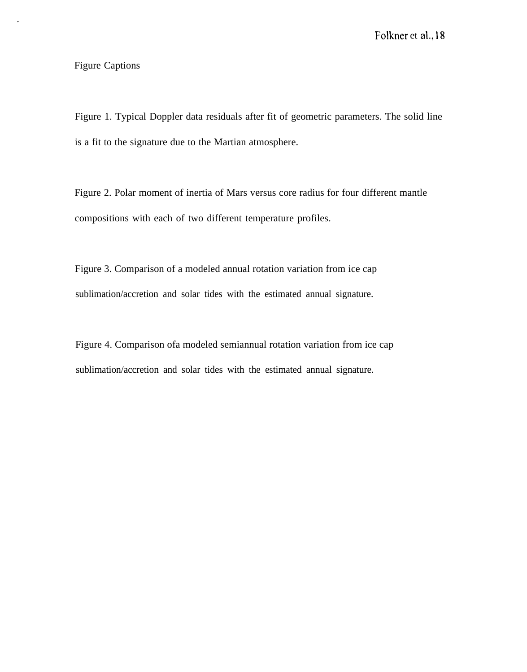## Figure Captions

Figure 1. Typical Doppler data residuals after fit of geometric parameters. The solid line is a fit to the signature due to the Martian atmosphere.

Figure 2. Polar moment of inertia of Mars versus core radius for four different mantle compositions with each of two different temperature profiles.

Figure 3. Comparison of a modeled annual rotation variation from ice cap sublimation/accretion and solar tides with the estimated annual signature.

Figure 4. Comparison ofa modeled semiannual rotation variation from ice cap sublimation/accretion and solar tides with the estimated annual signature.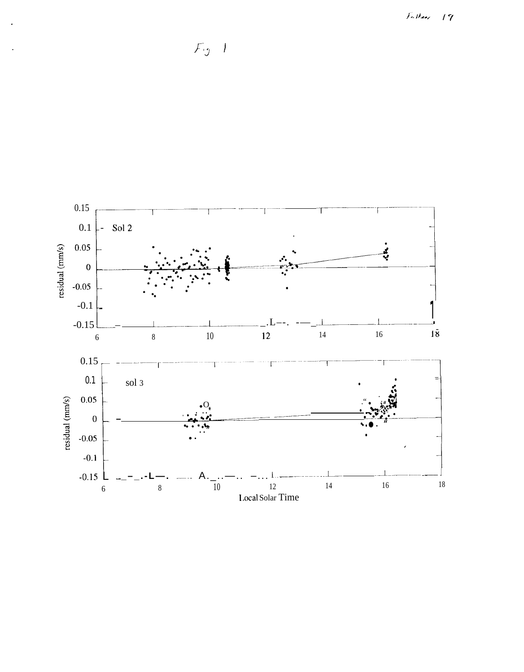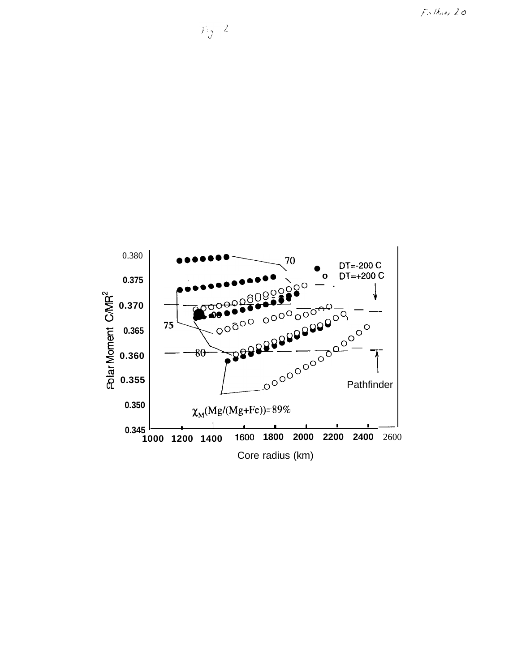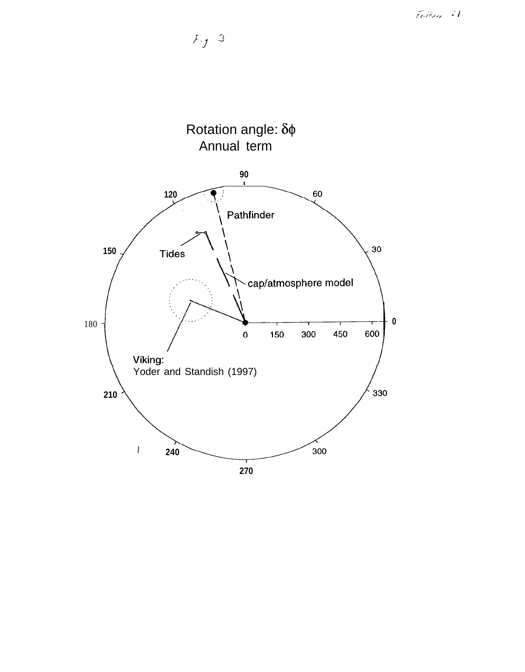